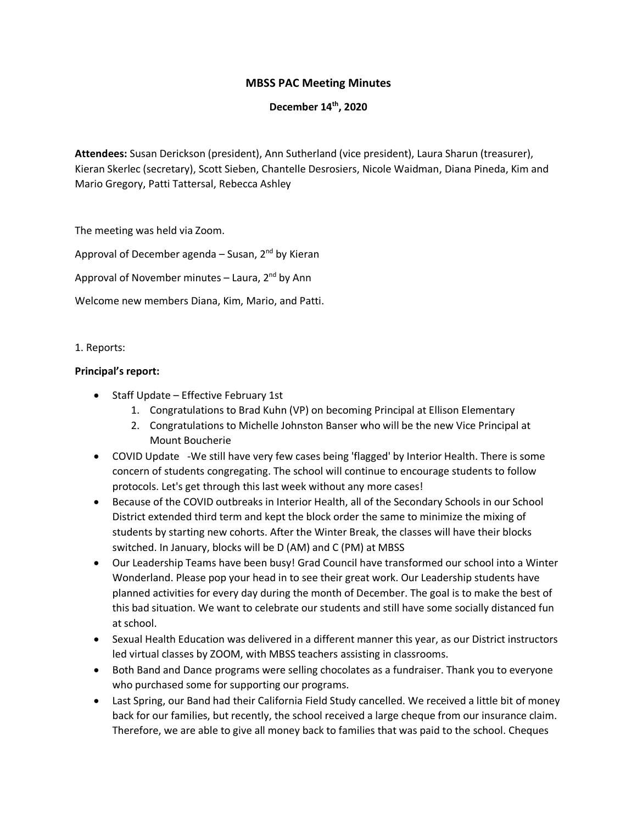# **MBSS PAC Meeting Minutes**

## **December 14th, 2020**

**Attendees:** Susan Derickson (president), Ann Sutherland (vice president), Laura Sharun (treasurer), Kieran Skerlec (secretary), Scott Sieben, Chantelle Desrosiers, Nicole Waidman, Diana Pineda, Kim and Mario Gregory, Patti Tattersal, Rebecca Ashley

The meeting was held via Zoom.

Approval of December agenda – Susan,  $2^{nd}$  by Kieran

Approval of November minutes – Laura,  $2^{nd}$  by Ann

Welcome new members Diana, Kim, Mario, and Patti.

#### 1. Reports:

#### **Principal's report:**

- Staff Update Effective February 1st
	- 1. Congratulations to Brad Kuhn (VP) on becoming Principal at Ellison Elementary
	- 2. Congratulations to Michelle Johnston Banser who will be the new Vice Principal at Mount Boucherie
- COVID Update -We still have very few cases being 'flagged' by Interior Health. There is some concern of students congregating. The school will continue to encourage students to follow protocols. Let's get through this last week without any more cases!
- Because of the COVID outbreaks in Interior Health, all of the Secondary Schools in our School District extended third term and kept the block order the same to minimize the mixing of students by starting new cohorts. After the Winter Break, the classes will have their blocks switched. In January, blocks will be D (AM) and C (PM) at MBSS
- Our Leadership Teams have been busy! Grad Council have transformed our school into a Winter Wonderland. Please pop your head in to see their great work. Our Leadership students have planned activities for every day during the month of December. The goal is to make the best of this bad situation. We want to celebrate our students and still have some socially distanced fun at school.
- Sexual Health Education was delivered in a different manner this year, as our District instructors led virtual classes by ZOOM, with MBSS teachers assisting in classrooms.
- Both Band and Dance programs were selling chocolates as a fundraiser. Thank you to everyone who purchased some for supporting our programs.
- Last Spring, our Band had their California Field Study cancelled. We received a little bit of money back for our families, but recently, the school received a large cheque from our insurance claim. Therefore, we are able to give all money back to families that was paid to the school. Cheques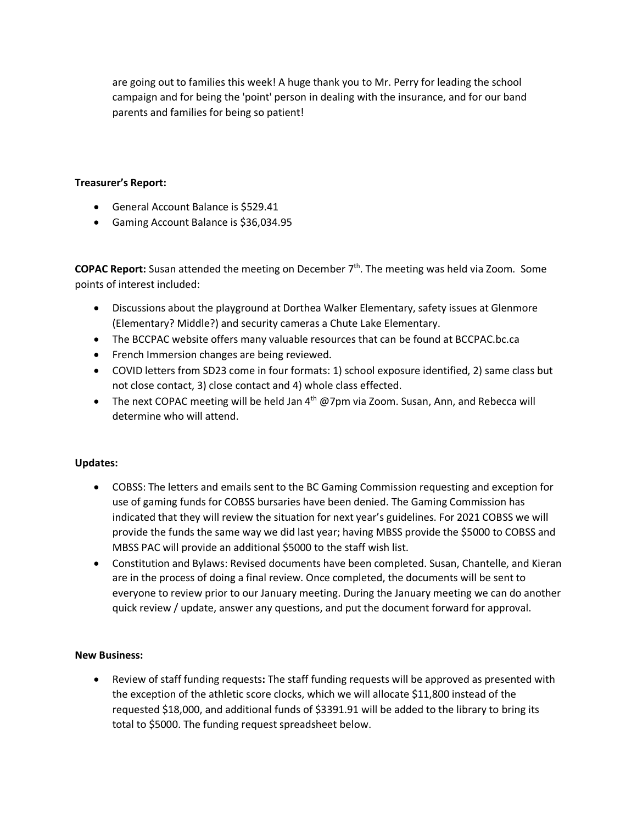are going out to families this week! A huge thank you to Mr. Perry for leading the school campaign and for being the 'point' person in dealing with the insurance, and for our band parents and families for being so patient!

## **Treasurer's Report:**

- General Account Balance is \$529.41
- Gaming Account Balance is \$36,034.95

**COPAC Report:** Susan attended the meeting on December 7<sup>th</sup>. The meeting was held via Zoom. Some points of interest included:

- Discussions about the playground at Dorthea Walker Elementary, safety issues at Glenmore (Elementary? Middle?) and security cameras a Chute Lake Elementary.
- The BCCPAC website offers many valuable resources that can be found at BCCPAC.bc.ca
- French Immersion changes are being reviewed.
- COVID letters from SD23 come in four formats: 1) school exposure identified, 2) same class but not close contact, 3) close contact and 4) whole class effected.
- The next COPAC meeting will be held Jan  $4<sup>th</sup>$  @7pm via Zoom. Susan, Ann, and Rebecca will determine who will attend.

## **Updates:**

- COBSS: The letters and emails sent to the BC Gaming Commission requesting and exception for use of gaming funds for COBSS bursaries have been denied. The Gaming Commission has indicated that they will review the situation for next year's guidelines. For 2021 COBSS we will provide the funds the same way we did last year; having MBSS provide the \$5000 to COBSS and MBSS PAC will provide an additional \$5000 to the staff wish list.
- Constitution and Bylaws: Revised documents have been completed. Susan, Chantelle, and Kieran are in the process of doing a final review. Once completed, the documents will be sent to everyone to review prior to our January meeting. During the January meeting we can do another quick review / update, answer any questions, and put the document forward for approval.

## **New Business:**

• Review of staff funding requests**:** The staff funding requests will be approved as presented with the exception of the athletic score clocks, which we will allocate \$11,800 instead of the requested \$18,000, and additional funds of \$3391.91 will be added to the library to bring its total to \$5000. The funding request spreadsheet below.